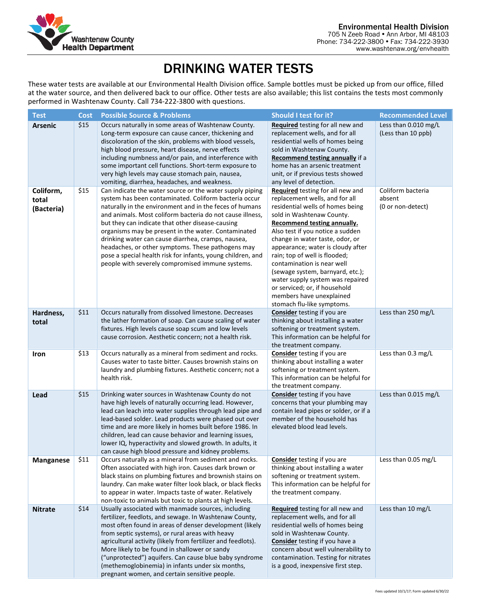

# DRINKING WATER TESTS

These water tests are available at our Environmental Health Division office. Sample bottles must be picked up from our office, filled at the water source, and then delivered back to our office. Other tests are also available; this list contains the tests most commonly performed in Washtenaw County. Call 734-222-3800 with questions.

| <b>Test</b>                      | <b>Cost</b> | <b>Possible Source &amp; Problems</b>                                                                                                                                                                                                                                                                                                                                                                                                                                                                                                                                              | Should I test for it?                                                                                                                                                                                                                                                                                                                                                                                                                                                                                            | <b>Recommended Level</b>                         |
|----------------------------------|-------------|------------------------------------------------------------------------------------------------------------------------------------------------------------------------------------------------------------------------------------------------------------------------------------------------------------------------------------------------------------------------------------------------------------------------------------------------------------------------------------------------------------------------------------------------------------------------------------|------------------------------------------------------------------------------------------------------------------------------------------------------------------------------------------------------------------------------------------------------------------------------------------------------------------------------------------------------------------------------------------------------------------------------------------------------------------------------------------------------------------|--------------------------------------------------|
| <b>Arsenic</b>                   | \$15        | Occurs naturally in some areas of Washtenaw County.<br>Long-term exposure can cause cancer, thickening and<br>discoloration of the skin, problems with blood vessels,<br>high blood pressure, heart disease, nerve effects<br>including numbness and/or pain, and interference with<br>some important cell functions. Short-term exposure to<br>very high levels may cause stomach pain, nausea,<br>vomiting, diarrhea, headaches, and weakness.                                                                                                                                   | Required testing for all new and<br>replacement wells, and for all<br>residential wells of homes being<br>sold in Washtenaw County.<br>Recommend testing annually if a<br>home has an arsenic treatment<br>unit, or if previous tests showed<br>any level of detection.                                                                                                                                                                                                                                          | Less than 0.010 mg/L<br>(Less than 10 ppb)       |
| Coliform,<br>total<br>(Bacteria) | \$15        | Can indicate the water source or the water supply piping<br>system has been contaminated. Coliform bacteria occur<br>naturally in the environment and in the feces of humans<br>and animals. Most coliform bacteria do not cause illness,<br>but they can indicate that other disease-causing<br>organisms may be present in the water. Contaminated<br>drinking water can cause diarrhea, cramps, nausea,<br>headaches, or other symptoms. These pathogens may<br>pose a special health risk for infants, young children, and<br>people with severely compromised immune systems. | Required testing for all new and<br>replacement wells, and for all<br>residential wells of homes being<br>sold in Washtenaw County.<br>Recommend testing annually.<br>Also test if you notice a sudden<br>change in water taste, odor, or<br>appearance; water is cloudy after<br>rain; top of well is flooded;<br>contamination is near well<br>(sewage system, barnyard, etc.);<br>water supply system was repaired<br>or serviced; or, if household<br>members have unexplained<br>stomach flu-like symptoms. | Coliform bacteria<br>absent<br>(0 or non-detect) |
| Hardness,<br>total               | \$11        | Occurs naturally from dissolved limestone. Decreases<br>the lather formation of soap. Can cause scaling of water<br>fixtures. High levels cause soap scum and low levels<br>cause corrosion. Aesthetic concern; not a health risk.                                                                                                                                                                                                                                                                                                                                                 | <b>Consider</b> testing if you are<br>thinking about installing a water<br>softening or treatment system.<br>This information can be helpful for<br>the treatment company.                                                                                                                                                                                                                                                                                                                                       | Less than 250 mg/L                               |
| Iron                             | \$13        | Occurs naturally as a mineral from sediment and rocks.<br>Causes water to taste bitter. Causes brownish stains on<br>laundry and plumbing fixtures. Aesthetic concern; not a<br>health risk.                                                                                                                                                                                                                                                                                                                                                                                       | <b>Consider</b> testing if you are<br>thinking about installing a water<br>softening or treatment system.<br>This information can be helpful for<br>the treatment company.                                                                                                                                                                                                                                                                                                                                       | Less than 0.3 mg/L                               |
| Lead                             | \$15        | Drinking water sources in Washtenaw County do not<br>have high levels of naturally occurring lead. However,<br>lead can leach into water supplies through lead pipe and<br>lead-based solder. Lead products were phased out over<br>time and are more likely in homes built before 1986. In<br>children, lead can cause behavior and learning issues,<br>lower IQ, hyperactivity and slowed growth. In adults, it<br>can cause high blood pressure and kidney problems.                                                                                                            | <b>Consider</b> testing if you have<br>concerns that your plumbing may<br>contain lead pipes or solder, or if a<br>member of the household has<br>elevated blood lead levels.                                                                                                                                                                                                                                                                                                                                    | Less than 0.015 mg/L                             |
| <b>Manganese</b>                 | \$11        | Occurs naturally as a mineral from sediment and rocks.<br>Often associated with high iron. Causes dark brown or<br>black stains on plumbing fixtures and brownish stains on<br>laundry. Can make water filter look black, or black flecks<br>to appear in water. Impacts taste of water. Relatively<br>non-toxic to animals but toxic to plants at high levels.                                                                                                                                                                                                                    | <b>Consider</b> testing if you are<br>thinking about installing a water<br>softening or treatment system.<br>This information can be helpful for<br>the treatment company.                                                                                                                                                                                                                                                                                                                                       | Less than 0.05 mg/L                              |
| <b>Nitrate</b>                   | \$14        | Usually associated with manmade sources, including<br>fertilizer, feedlots, and sewage. In Washtenaw County,<br>most often found in areas of denser development (likely<br>from septic systems), or rural areas with heavy<br>agricultural activity (likely from fertilizer and feedlots).<br>More likely to be found in shallower or sandy<br>("unprotected") aquifers. Can cause blue baby syndrome<br>(methemoglobinemia) in infants under six months,<br>pregnant women, and certain sensitive people.                                                                         | Required testing for all new and<br>replacement wells, and for all<br>residential wells of homes being<br>sold in Washtenaw County.<br>Consider testing if you have a<br>concern about well vulnerability to<br>contamination. Testing for nitrates<br>is a good, inexpensive first step.                                                                                                                                                                                                                        | Less than 10 mg/L                                |